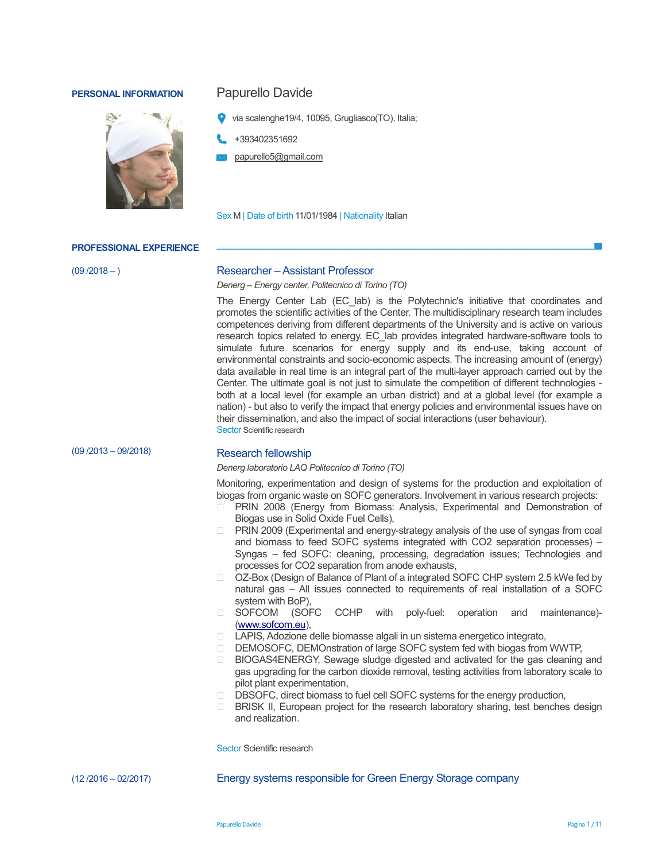# **PERSONAL INFORMATION** Papurello Davide



- via scalenghe19/4, 10095, Grugliasco(TO), Italia;
- +393402351692
- papurello5@gmail.com

Sex M | Date of birth 11/01/1984 | Nationality Italian

### **PROFESSIONAL EXPERIENCE**

 $(09 / 2018 - )$ 

## Researcher – Assistant Professor

*Denerg – Energy center, Politecnico di Torino (TO)* 

The Energy Center Lab (EC\_lab) is the Polytechnic's initiative that coordinates and promotes the scientific activities of the Center. The multidisciplinary research team includes competences deriving from different departments of the University and is active on various research topics related to energy. EC\_lab provides integrated hardware-software tools to simulate future scenarios for energy supply and its end-use, taking account of environmental constraints and socio-economic aspects. The increasing amount of (energy) data available in real time is an integral part of the multi-layer approach carried out by the Center. The ultimate goal is not just to simulate the competition of different technologies both at a local level (for example an urban district) and at a global level (for example a nation) - but also to verify the impact that energy policies and environmental issues have on their dissemination, and also the impact of social interactions (user behaviour). Sector Scientific research

(09 /2013 – 09/2018)

## Research fellowship

*Denerg laboratorio LAQ Politecnico di Torino (TO)*

Monitoring, experimentation and design of systems for the production and exploitation of biogas from organic waste on SOFC generators. Involvement in various research projects:

 PRIN 2008 (Energy from Biomass: Analysis, Experimental and Demonstration of Biogas use in Solid Oxide Fuel Cells),

 PRIN 2009 (Experimental and energy-strategy analysis of the use of syngas from coal and biomass to feed SOFC systems integrated with CO2 separation processes) – Syngas – fed SOFC: cleaning, processing, degradation issues; Technologies and processes for CO2 separation from anode exhausts,

 OZ-Box (Design of Balance of Plant of a integrated SOFC CHP system 2.5 kWe fed by natural gas – All issues connected to requirements of real installation of a SOFC system with BoP),

 SOFCOM (SOFC CCHP with poly-fuel: operation and maintenance)- (www.sofcom.eu),

LAPIS, Adozione delle biomasse algali in un sistema energetico integrato,

DEMOSOFC, DEMOnstration of large SOFC system fed with biogas from WWTP,

 BIOGAS4ENERGY, Sewage sludge digested and activated for the gas cleaning and gas upgrading for the carbon dioxide removal, testing activities from laboratory scale to pilot plant experimentation,

DBSOFC, direct biomass to fuel cell SOFC systems for the energy production,

 BRISK II, European project for the research laboratory sharing, test benches design and realization.

Sector Scientific research

(12 /2016 – 02/2017) Energy systems responsible for Green Energy Storage company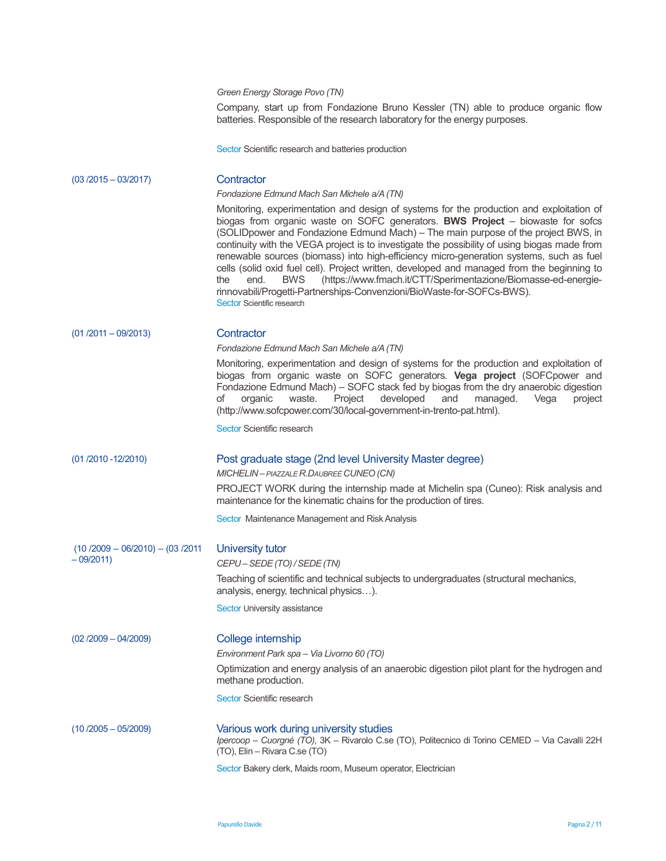## *Green Energy Storage Povo (TN)*

Company, start up from Fondazione Bruno Kessler (TN) able to produce organic flow batteries. Responsible of the research laboratory for the energy purposes.

Sector Scientific research and batteries production

| $(03/2015 - 03/2017)$                           | Contractor                                                                                                                                                                                                                                                                                                                                                                                                                                                                                                                                                                                                                                                                                                                                                      |
|-------------------------------------------------|-----------------------------------------------------------------------------------------------------------------------------------------------------------------------------------------------------------------------------------------------------------------------------------------------------------------------------------------------------------------------------------------------------------------------------------------------------------------------------------------------------------------------------------------------------------------------------------------------------------------------------------------------------------------------------------------------------------------------------------------------------------------|
|                                                 | Fondazione Edmund Mach San Michele a/A (TN)                                                                                                                                                                                                                                                                                                                                                                                                                                                                                                                                                                                                                                                                                                                     |
|                                                 | Monitoring, experimentation and design of systems for the production and exploitation of<br>biogas from organic waste on SOFC generators. BWS Project - biowaste for sofcs<br>(SOLIDpower and Fondazione Edmund Mach) - The main purpose of the project BWS, in<br>continuity with the VEGA project is to investigate the possibility of using biogas made from<br>renewable sources (biomass) into high-efficiency micro-generation systems, such as fuel<br>cells (solid oxid fuel cell). Project written, developed and managed from the beginning to<br>(https://www.fmach.it/CTT/Sperimentazione/Biomasse-ed-energie-<br>the<br>end.<br><b>BWS</b><br>rinnovabili/Progetti-Partnerships-Convenzioni/BioWaste-for-SOFCs-BWS).<br>Sector Scientific research |
| $(01 / 2011 - 09 / 2013)$                       | Contractor                                                                                                                                                                                                                                                                                                                                                                                                                                                                                                                                                                                                                                                                                                                                                      |
|                                                 | Fondazione Edmund Mach San Michele a/A (TN)                                                                                                                                                                                                                                                                                                                                                                                                                                                                                                                                                                                                                                                                                                                     |
|                                                 | Monitoring, experimentation and design of systems for the production and exploitation of<br>biogas from organic waste on SOFC generators. Vega project (SOFCpower and<br>Fondazione Edmund Mach) - SOFC stack fed by biogas from the dry anaerobic digestion<br>developed<br>of<br>organic<br>waste.<br>Project<br>and<br>managed.<br>Vega<br>project<br>(http://www.sofcpower.com/30/local-government-in-trento-pat.html).                                                                                                                                                                                                                                                                                                                                     |
|                                                 | Sector Scientific research                                                                                                                                                                                                                                                                                                                                                                                                                                                                                                                                                                                                                                                                                                                                      |
|                                                 |                                                                                                                                                                                                                                                                                                                                                                                                                                                                                                                                                                                                                                                                                                                                                                 |
| $(01 / 2010 - 12 / 2010)$                       | Post graduate stage (2nd level University Master degree)<br>MICHELIN - PIAZZALE R. DAUBREÈ CUNEO (CN)                                                                                                                                                                                                                                                                                                                                                                                                                                                                                                                                                                                                                                                           |
|                                                 | PROJECT WORK during the internship made at Michelin spa (Cuneo): Risk analysis and<br>maintenance for the kinematic chains for the production of tires.                                                                                                                                                                                                                                                                                                                                                                                                                                                                                                                                                                                                         |
|                                                 | Sector Maintenance Management and Risk Analysis                                                                                                                                                                                                                                                                                                                                                                                                                                                                                                                                                                                                                                                                                                                 |
| $(10/2009 - 06/2010) - (03/2011)$<br>$-09/2011$ | University tutor<br>CEPU-SEDE (TO) / SEDE (TN)                                                                                                                                                                                                                                                                                                                                                                                                                                                                                                                                                                                                                                                                                                                  |
|                                                 | Teaching of scientific and technical subjects to undergraduates (structural mechanics,<br>analysis, energy, technical physics).                                                                                                                                                                                                                                                                                                                                                                                                                                                                                                                                                                                                                                 |
|                                                 | Sector University assistance                                                                                                                                                                                                                                                                                                                                                                                                                                                                                                                                                                                                                                                                                                                                    |
| $(02 / 2009 - 04 / 2009)$                       | College internship                                                                                                                                                                                                                                                                                                                                                                                                                                                                                                                                                                                                                                                                                                                                              |
|                                                 | Environment Park spa - Via Livorno 60 (TO)                                                                                                                                                                                                                                                                                                                                                                                                                                                                                                                                                                                                                                                                                                                      |
|                                                 | Optimization and energy analysis of an anaerobic digestion pilot plant for the hydrogen and<br>methane production.                                                                                                                                                                                                                                                                                                                                                                                                                                                                                                                                                                                                                                              |
|                                                 | Sector Scientific research                                                                                                                                                                                                                                                                                                                                                                                                                                                                                                                                                                                                                                                                                                                                      |
| $(10/2005 - 05/2009)$                           | Various work during university studies<br>Ipercoop - Cuorgnè (TO), 3K - Rivarolo C.se (TO), Politecnico di Torino CEMED - Via Cavalli 22H<br>(TO), Elin - Rivara C.se (TO)                                                                                                                                                                                                                                                                                                                                                                                                                                                                                                                                                                                      |
|                                                 | Sector Bakery clerk, Maids room, Museum operator, Electrician                                                                                                                                                                                                                                                                                                                                                                                                                                                                                                                                                                                                                                                                                                   |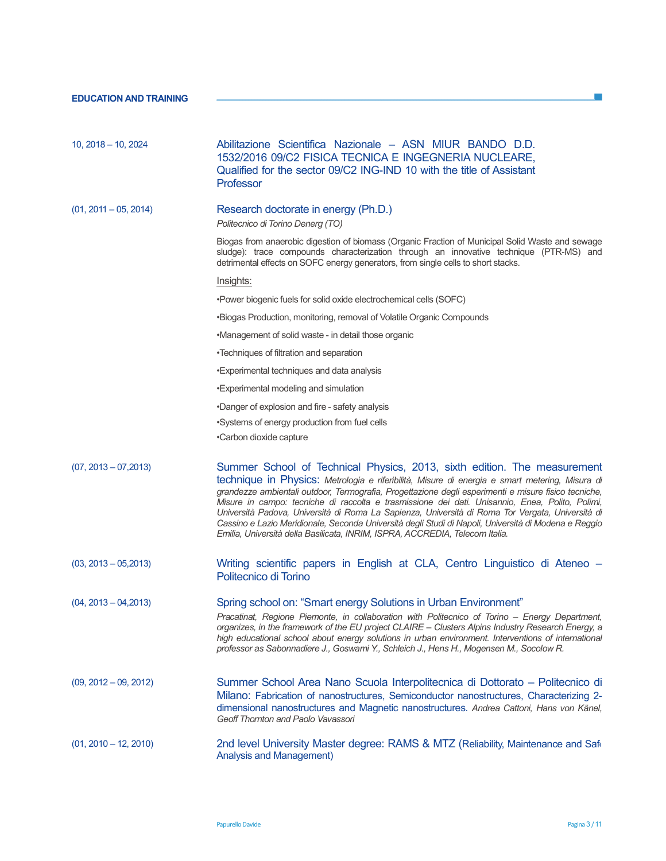| $10, 2018 - 10, 2024$   | Abilitazione Scientifica Nazionale - ASN MIUR BANDO D.D.<br>1532/2016 09/C2 FISICA TECNICA E INGEGNERIA NUCLEARE,<br>Qualified for the sector 09/C2 ING-IND 10 with the title of Assistant<br>Professor                                                                                                                                                                                                                                                                                                                                                                                                                                                                           |
|-------------------------|-----------------------------------------------------------------------------------------------------------------------------------------------------------------------------------------------------------------------------------------------------------------------------------------------------------------------------------------------------------------------------------------------------------------------------------------------------------------------------------------------------------------------------------------------------------------------------------------------------------------------------------------------------------------------------------|
| $(01, 2011 - 05, 2014)$ | Research doctorate in energy (Ph.D.)<br>Politecnico di Torino Denerg (TO)                                                                                                                                                                                                                                                                                                                                                                                                                                                                                                                                                                                                         |
|                         | Biogas from anaerobic digestion of biomass (Organic Fraction of Municipal Solid Waste and sewage<br>sludge): trace compounds characterization through an innovative technique (PTR-MS) and<br>detrimental effects on SOFC energy generators, from single cells to short stacks.                                                                                                                                                                                                                                                                                                                                                                                                   |
|                         | Insights:                                                                                                                                                                                                                                                                                                                                                                                                                                                                                                                                                                                                                                                                         |
|                         | . Power biogenic fuels for solid oxide electrochemical cells (SOFC)                                                                                                                                                                                                                                                                                                                                                                                                                                                                                                                                                                                                               |
|                         | •Biogas Production, monitoring, removal of Volatile Organic Compounds                                                                                                                                                                                                                                                                                                                                                                                                                                                                                                                                                                                                             |
|                         | •Management of solid waste - in detail those organic                                                                                                                                                                                                                                                                                                                                                                                                                                                                                                                                                                                                                              |
|                         | •Techniques of filtration and separation                                                                                                                                                                                                                                                                                                                                                                                                                                                                                                                                                                                                                                          |
|                         | •Experimental techniques and data analysis                                                                                                                                                                                                                                                                                                                                                                                                                                                                                                                                                                                                                                        |
|                         | •Experimental modeling and simulation                                                                                                                                                                                                                                                                                                                                                                                                                                                                                                                                                                                                                                             |
|                         | •Danger of explosion and fire - safety analysis                                                                                                                                                                                                                                                                                                                                                                                                                                                                                                                                                                                                                                   |
|                         | •Systems of energy production from fuel cells                                                                                                                                                                                                                                                                                                                                                                                                                                                                                                                                                                                                                                     |
|                         | •Carbon dioxide capture                                                                                                                                                                                                                                                                                                                                                                                                                                                                                                                                                                                                                                                           |
| $(07, 2013 - 07, 2013)$ | Summer School of Technical Physics, 2013, sixth edition. The measurement<br>technique in Physics: Metrologia e riferibilità, Misure di energia e smart metering, Misura di<br>grandezze ambientali outdoor, Termografia, Progettazione degli esperimenti e misure fisico tecniche,<br>Misure in campo: tecniche di raccolta e trasmissione dei dati. Unisannio, Enea, Polito, Polimi,<br>Università Padova, Università di Roma La Sapienza, Università di Roma Tor Vergata, Università di<br>Cassino e Lazio Meridionale, Seconda Università degli Studi di Napoli, Università di Modena e Reggio<br>Emilia, Università della Basilicata, INRIM, ISPRA, ACCREDIA, Telecom Italia. |
| $(03, 2013 - 05, 2013)$ | Writing scientific papers in English at CLA, Centro Linguistico di Ateneo –<br>Politecnico di Torino                                                                                                                                                                                                                                                                                                                                                                                                                                                                                                                                                                              |
| $(04, 2013 - 04, 2013)$ | Spring school on: "Smart energy Solutions in Urban Environment"<br>Pracatinat, Regione Piemonte, in collaboration with Politecnico of Torino - Energy Department,<br>organizes, in the framework of the EU project CLAIRE - Clusters Alpins Industry Research Energy, a<br>high educational school about energy solutions in urban environment. Interventions of international<br>professor as Sabonnadiere J., Goswami Y., Schleich J., Hens H., Mogensen M., Socolow R.                                                                                                                                                                                                         |
| $(09, 2012 - 09, 2012)$ | Summer School Area Nano Scuola Interpolitecnica di Dottorato – Politecnico di<br>Milano: Fabrication of nanostructures, Semiconductor nanostructures, Characterizing 2-<br>dimensional nanostructures and Magnetic nanostructures. Andrea Cattoni, Hans von Känel,<br>Geoff Thornton and Paolo Vavassori                                                                                                                                                                                                                                                                                                                                                                          |
| $(01, 2010 - 12, 2010)$ | 2nd level University Master degree: RAMS & MTZ (Reliability, Maintenance and Safi<br><b>Analysis and Management)</b>                                                                                                                                                                                                                                                                                                                                                                                                                                                                                                                                                              |

 $\mathcal{L}^{\mathcal{L}}$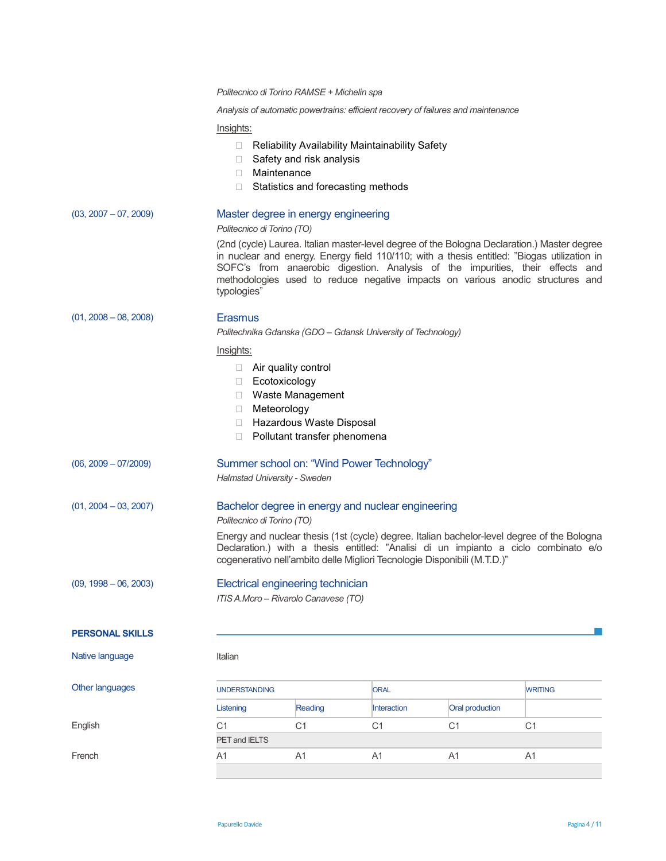|                         | Politecnico di Torino RAMSE + Michelin spa                                                                       |                                                                                                                   |                                                                                                                                                                                    |                 |                                                                                                                                                                                                                                                                                                                                                                |  |
|-------------------------|------------------------------------------------------------------------------------------------------------------|-------------------------------------------------------------------------------------------------------------------|------------------------------------------------------------------------------------------------------------------------------------------------------------------------------------|-----------------|----------------------------------------------------------------------------------------------------------------------------------------------------------------------------------------------------------------------------------------------------------------------------------------------------------------------------------------------------------------|--|
|                         | Analysis of automatic powertrains: efficient recovery of failures and maintenance<br>Insights:                   |                                                                                                                   |                                                                                                                                                                                    |                 |                                                                                                                                                                                                                                                                                                                                                                |  |
|                         |                                                                                                                  |                                                                                                                   |                                                                                                                                                                                    |                 |                                                                                                                                                                                                                                                                                                                                                                |  |
|                         | Maintenance                                                                                                      | Reliability Availability Maintainability Safety<br>Safety and risk analysis<br>Statistics and forecasting methods |                                                                                                                                                                                    |                 |                                                                                                                                                                                                                                                                                                                                                                |  |
| $(03, 2007 - 07, 2009)$ | Politecnico di Torino (TO)                                                                                       | Master degree in energy engineering                                                                               |                                                                                                                                                                                    |                 |                                                                                                                                                                                                                                                                                                                                                                |  |
|                         | typologies"                                                                                                      |                                                                                                                   |                                                                                                                                                                                    |                 | (2nd (cycle) Laurea. Italian master-level degree of the Bologna Declaration.) Master degree<br>in nuclear and energy. Energy field 110/110; with a thesis entitled: "Biogas utilization in<br>SOFC's from anaerobic digestion. Analysis of the impurities, their effects and<br>methodologies used to reduce negative impacts on various anodic structures and |  |
| $(01, 2008 - 08, 2008)$ | <b>Erasmus</b><br>Politechnika Gdanska (GDO - Gdansk University of Technology)                                   |                                                                                                                   |                                                                                                                                                                                    |                 |                                                                                                                                                                                                                                                                                                                                                                |  |
|                         | Insights:<br>Air quality control<br>Ecotoxicology<br>Waste Management<br>Meteorology<br>Hazardous Waste Disposal |                                                                                                                   |                                                                                                                                                                                    |                 |                                                                                                                                                                                                                                                                                                                                                                |  |
|                         |                                                                                                                  |                                                                                                                   |                                                                                                                                                                                    |                 |                                                                                                                                                                                                                                                                                                                                                                |  |
|                         |                                                                                                                  | Pollutant transfer phenomena                                                                                      |                                                                                                                                                                                    |                 |                                                                                                                                                                                                                                                                                                                                                                |  |
| $(06, 2009 - 07/2009)$  | Halmstad University - Sweden                                                                                     | Summer school on: "Wind Power Technology"                                                                         |                                                                                                                                                                                    |                 |                                                                                                                                                                                                                                                                                                                                                                |  |
| $(01, 2004 - 03, 2007)$ | Bachelor degree in energy and nuclear engineering<br>Politecnico di Torino (TO)                                  |                                                                                                                   |                                                                                                                                                                                    |                 |                                                                                                                                                                                                                                                                                                                                                                |  |
|                         | cogenerativo nell'ambito delle Migliori Tecnologie Disponibili (M.T.D.)"                                         |                                                                                                                   | Energy and nuclear thesis (1st (cycle) degree. Italian bachelor-level degree of the Bologna<br>Declaration.) with a thesis entitled: "Analisi di un impianto a ciclo combinato e/o |                 |                                                                                                                                                                                                                                                                                                                                                                |  |
| $(09, 1998 - 06, 2003)$ | Electrical engineering technician<br>ITIS A.Moro - Rivarolo Canavese (TO)                                        |                                                                                                                   |                                                                                                                                                                                    |                 |                                                                                                                                                                                                                                                                                                                                                                |  |
| <b>PERSONAL SKILLS</b>  |                                                                                                                  |                                                                                                                   |                                                                                                                                                                                    |                 |                                                                                                                                                                                                                                                                                                                                                                |  |
| Native language         | Italian                                                                                                          |                                                                                                                   |                                                                                                                                                                                    |                 |                                                                                                                                                                                                                                                                                                                                                                |  |
| Other languages         | <b>UNDERSTANDING</b>                                                                                             |                                                                                                                   | <b>ORAL</b>                                                                                                                                                                        |                 | <b>WRITING</b>                                                                                                                                                                                                                                                                                                                                                 |  |
|                         | Listening                                                                                                        | Reading                                                                                                           | Interaction                                                                                                                                                                        | Oral production |                                                                                                                                                                                                                                                                                                                                                                |  |
| English                 | C <sub>1</sub>                                                                                                   | C <sub>1</sub>                                                                                                    | C <sub>1</sub>                                                                                                                                                                     | C <sub>1</sub>  | C <sub>1</sub>                                                                                                                                                                                                                                                                                                                                                 |  |
|                         | PET and IELTS                                                                                                    |                                                                                                                   |                                                                                                                                                                                    |                 |                                                                                                                                                                                                                                                                                                                                                                |  |
| French                  | A <sub>1</sub>                                                                                                   | A1                                                                                                                | A1                                                                                                                                                                                 | A <sub>1</sub>  | A <sub>1</sub>                                                                                                                                                                                                                                                                                                                                                 |  |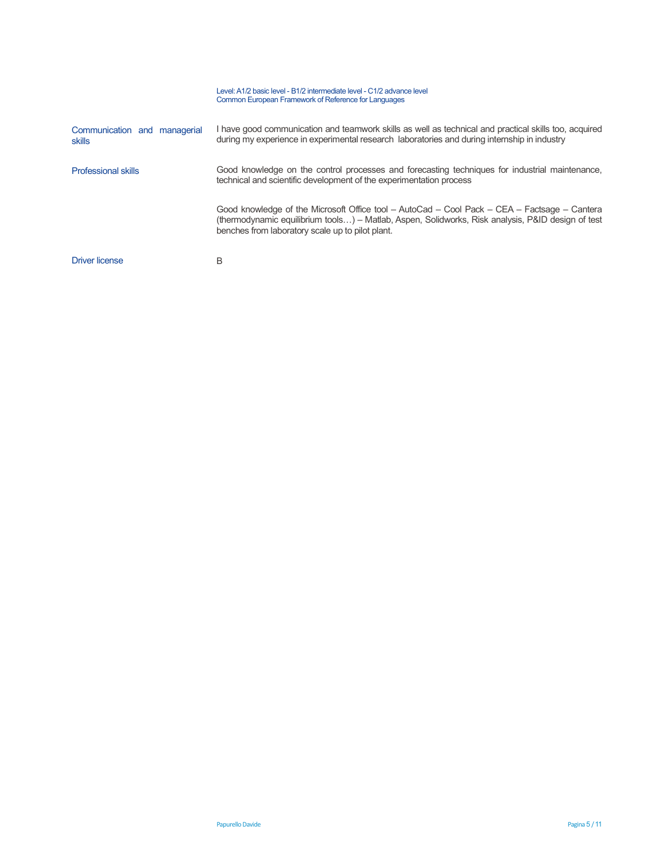|                                        | Level: A1/2 basic level - B1/2 intermediate level - C1/2 advance level<br>Common European Framework of Reference for Languages                                                                                                                        |
|----------------------------------------|-------------------------------------------------------------------------------------------------------------------------------------------------------------------------------------------------------------------------------------------------------|
| Communication and managerial<br>skills | I have good communication and teamwork skills as well as technical and practical skills too, acquired<br>during my experience in experimental research laboratories and during internship in industry                                                 |
| <b>Professional skills</b>             | Good knowledge on the control processes and forecasting techniques for industrial maintenance,<br>technical and scientific development of the experimentation process                                                                                 |
|                                        | Good knowledge of the Microsoft Office tool – AutoCad – Cool Pack – CEA – Factsage – Cantera<br>(thermodynamic equilibrium tools) – Matlab, Aspen, Solidworks, Risk analysis, P&ID design of test<br>benches from laboratory scale up to pilot plant. |
| <b>Driver license</b>                  | B                                                                                                                                                                                                                                                     |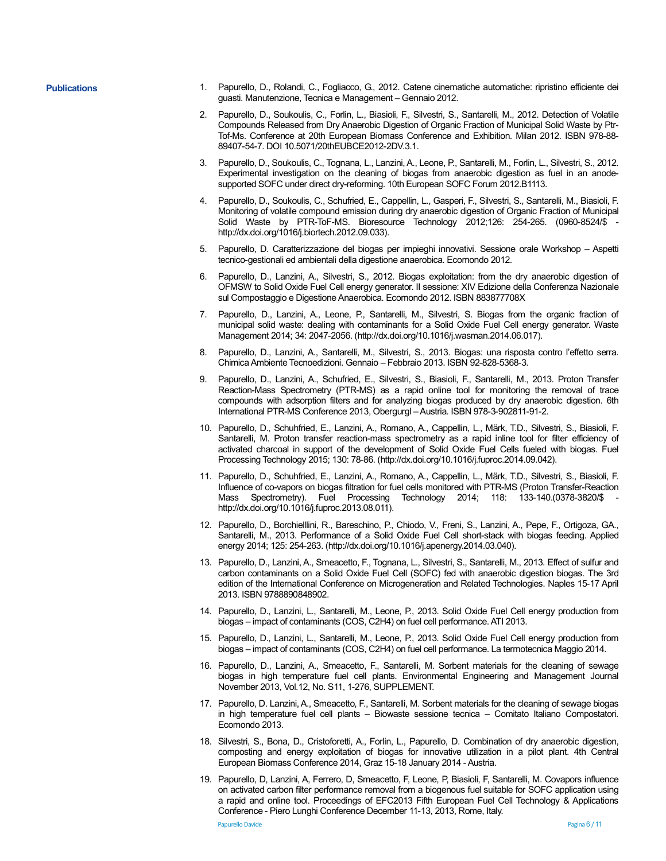- **Publications** 1. Papurello, D., Rolandi, C., Fogliacco, G., 2012. Catene cinematiche automatiche: ripristino efficiente dei guasti. Manutenzione, Tecnica e Management – Gennaio 2012.
	- 2. Papurello, D., Soukoulis, C., Forlin, L., Biasioli, F., Silvestri, S., Santarelli, M., 2012. Detection of Volatile Compounds Released from Dry Anaerobic Digestion of Organic Fraction of Municipal Solid Waste by Ptr-Tof-Ms. Conference at 20th European Biomass Conference and Exhibition. Milan 2012. ISBN 978-88- 89407-54-7. DOI 10.5071/20thEUBCE2012-2DV.3.1.
	- 3. Papurello, D., Soukoulis, C., Tognana, L., Lanzini, A., Leone, P., Santarelli, M., Forlin, L., Silvestri, S., 2012. Experimental investigation on the cleaning of biogas from anaerobic digestion as fuel in an anodesupported SOFC under direct dry-reforming. 10th European SOFC Forum 2012.B1113.
	- 4. Papurello, D., Soukoulis, C., Schufried, E., Cappellin, L., Gasperi, F., Silvestri, S., Santarelli, M., Biasioli, F. Monitoring of volatile compound emission during dry anaerobic digestion of Organic Fraction of Municipal Solid Waste by PTR-ToF-MS. Bioresource Technology 2012;126: 254-265. (0960-8524/\$ http://dx.doi.org/1016/j.biortech.2012.09.033).
	- 5. Papurello, D. Caratterizzazione del biogas per impieghi innovativi. Sessione orale Workshop Aspetti tecnico-gestionali ed ambientali della digestione anaerobica. Ecomondo 2012.
	- 6. Papurello, D., Lanzini, A., Silvestri, S., 2012. Biogas exploitation: from the dry anaerobic digestion of OFMSW to Solid Oxide Fuel Cell energy generator. II sessione: XIV Edizione della Conferenza Nazionale sul Compostaggio e Digestione Anaerobica. Ecomondo 2012. ISBN 883877708X
	- 7. Papurello, D., Lanzini, A., Leone, P., Santarelli, M., Silvestri, S. Biogas from the organic fraction of municipal solid waste: dealing with contaminants for a Solid Oxide Fuel Cell energy generator. Waste Management 2014; 34: 2047-2056. (http://dx.doi.org/10.1016/j.wasman.2014.06.017).
	- 8. Papurello, D., Lanzini, A., Santarelli, M., Silvestri, S., 2013. Biogas: una risposta contro l'effetto serra. Chimica Ambiente Tecnoedizioni. Gennaio – Febbraio 2013. ISBN 92-828-5368-3.
	- 9. Papurello, D., Lanzini, A., Schufried, E., Silvestri, S., Biasioli, F., Santarelli, M., 2013. Proton Transfer Reaction-Mass Spectrometry (PTR-MS) as a rapid online tool for monitoring the removal of trace compounds with adsorption filters and for analyzing biogas produced by dry anaerobic digestion. 6th International PTR-MS Conference 2013, Obergurgl – Austria. ISBN 978-3-902811-91-2.
	- 10. Papurello, D., Schuhfried, E., Lanzini, A., Romano, A., Cappellin, L., Märk, T.D., Silvestri, S., Biasioli, F. Santarelli, M. Proton transfer reaction-mass spectrometry as a rapid inline tool for filter efficiency of activated charcoal in support of the development of Solid Oxide Fuel Cells fueled with biogas. Fuel Processing Technology 2015; 130: 78-86. (http://dx.doi.org/10.1016/j.fuproc.2014.09.042).
	- 11. Papurello, D., Schuhfried, E., Lanzini, A., Romano, A., Cappellin, L., Märk, T.D., Silvestri, S., Biasioli, F. Influence of co-vapors on biogas filtration for fuel cells monitored with PTR-MS (Proton Transfer-Reaction Mass Spectrometry). Fuel Processing Technology 2014; 118: 133-140.(0378-3820/\$ http://dx.doi.org/10.1016/j.fuproc.2013.08.011).
	- 12. Papurello, D., Borchielllini, R., Bareschino, P., Chiodo, V., Freni, S., Lanzini, A., Pepe, F., Ortigoza, GA., Santarelli, M., 2013. Performance of a Solid Oxide Fuel Cell short-stack with biogas feeding. Applied energy 2014; 125: 254-263. (http://dx.doi.org/10.1016/j.apenergy.2014.03.040).
	- 13. Papurello, D., Lanzini, A., Smeacetto, F., Tognana, L., Silvestri, S., Santarelli, M., 2013. Effect of sulfur and carbon contaminants on a Solid Oxide Fuel Cell (SOFC) fed with anaerobic digestion biogas. The 3rd edition of the International Conference on Microgeneration and Related Technologies. Naples 15-17 April 2013. ISBN 9788890848902.
	- 14. Papurello, D., Lanzini, L., Santarelli, M., Leone, P., 2013. Solid Oxide Fuel Cell energy production from biogas – impact of contaminants (COS, C2H4) on fuel cell performance. ATI 2013.
	- 15. Papurello, D., Lanzini, L., Santarelli, M., Leone, P., 2013. Solid Oxide Fuel Cell energy production from biogas – impact of contaminants (COS, C2H4) on fuel cell performance. La termotecnica Maggio 2014.
	- 16. Papurello, D., Lanzini, A., Smeacetto, F., Santarelli, M. Sorbent materials for the cleaning of sewage biogas in high temperature fuel cell plants. Environmental Engineering and Management Journal November 2013, Vol.12, No. S11, 1-276, SUPPLEMENT.
	- 17. Papurello, D. Lanzini, A., Smeacetto, F., Santarelli, M. Sorbent materials for the cleaning of sewage biogas in high temperature fuel cell plants – Biowaste sessione tecnica – Comitato Italiano Compostatori. Ecomondo 2013.
	- 18. Silvestri, S., Bona, D., Cristoforetti, A., Forlin, L., Papurello, D. Combination of dry anaerobic digestion, composting and energy exploitation of biogas for innovative utilization in a pilot plant. 4th Central European Biomass Conference 2014, Graz 15-18 January 2014 - Austria.
	- 19. Papurello, D, Lanzini, A, Ferrero, D, Smeacetto, F, Leone, P, Biasioli, F, Santarelli, M. Covapors influence on activated carbon filter performance removal from a biogenous fuel suitable for SOFC application using a rapid and online tool. Proceedings of EFC2013 Fifth European Fuel Cell Technology & Applications Conference - Piero Lunghi Conference December 11-13, 2013, Rome, Italy.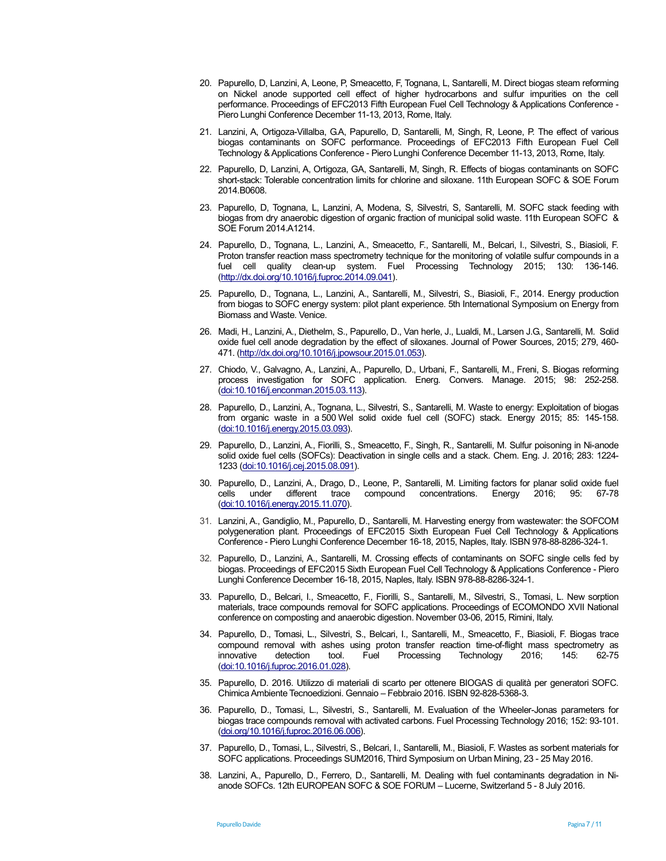- 20. Papurello, D, Lanzini, A, Leone, P, Smeacetto, F, Tognana, L, Santarelli, M. Direct biogas steam reforming on Nickel anode supported cell effect of higher hydrocarbons and sulfur impurities on the cell performance. Proceedings of EFC2013 Fifth European Fuel Cell Technology & Applications Conference - Piero Lunghi Conference December 11-13, 2013, Rome, Italy.
- 21. Lanzini, A, Ortigoza-Villalba, G.A, Papurello, D, Santarelli, M, Singh, R, Leone, P. The effect of various biogas contaminants on SOFC performance. Proceedings of EFC2013 Fifth European Fuel Cell Technology & Applications Conference - Piero Lunghi Conference December 11-13, 2013, Rome, Italy.
- 22. Papurello, D, Lanzini, A, Ortigoza, GA, Santarelli, M, Singh, R. Effects of biogas contaminants on SOFC short-stack: Tolerable concentration limits for chlorine and siloxane. 11th European SOFC & SOE Forum 2014.B0608.
- 23. Papurello, D, Tognana, L, Lanzini, A, Modena, S, Silvestri, S, Santarelli, M. SOFC stack feeding with biogas from dry anaerobic digestion of organic fraction of municipal solid waste. 11th European SOFC & SOE Forum 2014.A1214.
- 24. Papurello, D., Tognana, L., Lanzini, A., Smeacetto, F., Santarelli, M., Belcari, I., Silvestri, S., Biasioli, F. Proton transfer reaction mass spectrometry technique for the monitoring of volatile sulfur compounds in a fuel cell quality clean-up system. Fuel Processing Technology 2015; 130: 136-146. (http://dx.doi.org/10.1016/j.fuproc.2014.09.041).
- 25. Papurello, D., Tognana, L., Lanzini, A., Santarelli, M., Silvestri, S., Biasioli, F., 2014. Energy production from biogas to SOFC energy system: pilot plant experience. 5th International Symposium on Energy from Biomass and Waste. Venice.
- 26. Madi, H., Lanzini, A., Diethelm, S., Papurello, D., Van herle, J., Lualdi, M., Larsen J.G., Santarelli, M. Solid oxide fuel cell anode degradation by the effect of siloxanes. Journal of Power Sources, 2015; 279, 460- 471. (http://dx.doi.org/10.1016/j.jpowsour.2015.01.053).
- 27. Chiodo, V., Galvagno, A., Lanzini, A., Papurello, D., Urbani, F., Santarelli, M., Freni, S. Biogas reforming process investigation for SOFC application. Energ. Convers. Manage. 2015; 98: 252-258. (doi:10.1016/j.enconman.2015.03.113).
- 28. Papurello, D., Lanzini, A., Tognana, L., Silvestri, S., Santarelli, M. Waste to energy: Exploitation of biogas from organic waste in a 500 Wel solid oxide fuel cell (SOFC) stack. Energy 2015; 85: 145-158. (doi:10.1016/j.energy.2015.03.093).
- 29. Papurello, D., Lanzini, A., Fiorilli, S., Smeacetto, F., Singh, R., Santarelli, M. Sulfur poisoning in Ni-anode solid oxide fuel cells (SOFCs): Deactivation in single cells and a stack. Chem. Eng. J. 2016; 283: 1224- 1233 (doi:10.1016/j.cej.2015.08.091).
- 30. Papurello, D., Lanzini, A., Drago, D., Leone, P., Santarelli, M. Limiting factors for planar solid oxide fuel cells under different trace compound concentrations. Energy 2016; 95: 67-78 (doi:10.1016/j.energy.2015.11.070).
- 31. Lanzini, A., Gandiglio, M., Papurello, D., Santarelli, M. Harvesting energy from wastewater: the SOFCOM polygeneration plant. Proceedings of EFC2015 Sixth European Fuel Cell Technology & Applications Conference - Piero Lunghi Conference December 16-18, 2015, Naples, Italy. ISBN 978-88-8286-324-1.
- 32. Papurello, D., Lanzini, A., Santarelli, M. Crossing effects of contaminants on SOFC single cells fed by biogas. Proceedings of EFC2015 Sixth European Fuel Cell Technology & Applications Conference - Piero Lunghi Conference December 16-18, 2015, Naples, Italy. ISBN 978-88-8286-324-1.
- 33. Papurello, D., Belcari, I., Smeacetto, F., Fiorilli, S., Santarelli, M., Silvestri, S., Tomasi, L. New sorption materials, trace compounds removal for SOFC applications. Proceedings of ECOMONDO XVII National conference on composting and anaerobic digestion. November 03-06, 2015, Rimini, Italy.
- 34. Papurello, D., Tomasi, L., Silvestri, S., Belcari, I., Santarelli, M., Smeacetto, F., Biasioli, F. Biogas trace compound removal with ashes using proton transfer reaction time-of-flight mass spectrometry as innovative detection tool. Fuel Processing Technology 2016; 145: 62-75 (doi:10.1016/j.fuproc.2016.01.028).
- 35. Papurello, D. 2016. Utilizzo di materiali di scarto per ottenere BIOGAS di qualità per generatori SOFC. Chimica Ambiente Tecnoedizioni. Gennaio – Febbraio 2016. ISBN 92-828-5368-3.
- 36. Papurello, D., Tomasi, L., Silvestri, S., Santarelli, M. Evaluation of the Wheeler-Jonas parameters for biogas trace compounds removal with activated carbons. Fuel Processing Technology 2016; 152: 93-101. (doi.org/10.1016/j.fuproc.2016.06.006).
- 37. Papurello, D., Tomasi, L., Silvestri, S., Belcari, I., Santarelli, M., Biasioli, F. Wastes as sorbent materials for SOFC applications. Proceedings SUM2016, Third Symposium on Urban Mining, 23 - 25 May 2016.
- 38. Lanzini, A., Papurello, D., Ferrero, D., Santarelli, M. Dealing with fuel contaminants degradation in Nianode SOFCs. 12th EUROPEAN SOFC & SOE FORUM – Lucerne, Switzerland 5 - 8 July 2016.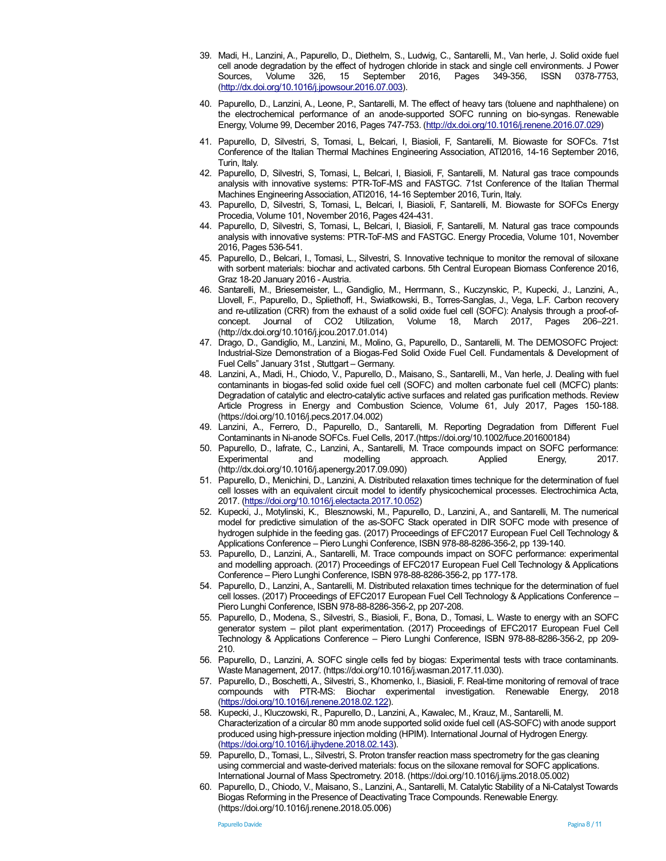- 39. Madi, H., Lanzini, A., Papurello, D., Diethelm, S., Ludwig, C., Santarelli, M., Van herle, J. Solid oxide fuel cell anode degradation by the effect of hydrogen chloride in stack and single cell environments. J Power Sources, Volume 326, 15 September 2016, Pages 349-356, ISSN 0378-7753, (http://dx.doi.org/10.1016/j.jpowsour.2016.07.003).
- 40. Papurello, D., Lanzini, A., Leone, P., Santarelli, M. The effect of heavy tars (toluene and naphthalene) on the electrochemical performance of an anode-supported SOFC running on bio-syngas. Renewable Energy, Volume 99, December 2016, Pages 747-753. (http://dx.doi.org/10.1016/j.renene.2016.07.029)
- 41. Papurello, D, Silvestri, S, Tomasi, L, Belcari, I, Biasioli, F, Santarelli, M. Biowaste for SOFCs. 71st Conference of the Italian Thermal Machines Engineering Association, ATI2016, 14-16 September 2016, Turin, Italy.
- 42. Papurello, D, Silvestri, S, Tomasi, L, Belcari, I, Biasioli, F, Santarelli, M. Natural gas trace compounds analysis with innovative systems: PTR-ToF-MS and FASTGC. 71st Conference of the Italian Thermal Machines Engineering Association, ATI2016, 14-16 September 2016, Turin, Italy.
- 43. Papurello, D, Silvestri, S, Tomasi, L, Belcari, I, Biasioli, F, Santarelli, M. Biowaste for SOFCs Energy Procedia, Volume 101, November 2016, Pages 424-431.
- 44. Papurello, D, Silvestri, S, Tomasi, L, Belcari, I, Biasioli, F, Santarelli, M. Natural gas trace compounds analysis with innovative systems: PTR-ToF-MS and FASTGC. Energy Procedia, Volume 101, November 2016, Pages 536-541.
- 45. Papurello, D., Belcari, I., Tomasi, L., Silvestri, S. Innovative technique to monitor the removal of siloxane with sorbent materials: biochar and activated carbons. 5th Central European Biomass Conference 2016, Graz 18-20 January 2016 - Austria.
- 46. Santarelli, M., Briesemeister, L., Gandiglio, M., Herrmann, S., Kuczynskic, P., Kupecki, J., Lanzini, A., Llovell, F., Papurello, D., Spliethoff, H., Swiatkowski, B., Torres-Sanglas, J., Vega, L.F. Carbon recovery and re-utilization (CRR) from the exhaust of a solid oxide fuel cell (SOFC): Analysis through a proof-of-<br>
concept. Journal of CO2 Utilization, Volume 18, March 2017, Pages 206–221. concept. Journal of CO2 Utilization, Volume 18, March 2017, Pages 206–221. (http://dx.doi.org/10.1016/j.jcou.2017.01.014)
- 47. Drago, D., Gandiglio, M., Lanzini, M., Molino, G., Papurello, D., Santarelli, M. The DEMOSOFC Project: Industrial-Size Demonstration of a Biogas-Fed Solid Oxide Fuel Cell. Fundamentals & Development of Fuel Cells" January 31st , Stuttgart – Germany.
- 48. Lanzini, A., Madi, H., Chiodo, V., Papurello, D., Maisano, S., Santarelli, M., Van herle, J. Dealing with fuel contaminants in biogas-fed solid oxide fuel cell (SOFC) and molten carbonate fuel cell (MCFC) plants: Degradation of catalytic and electro-catalytic active surfaces and related gas purification methods. Review Article Progress in Energy and Combustion Science, Volume 61, July 2017, Pages 150-188. (https://doi.org/10.1016/j.pecs.2017.04.002)
- 49. Lanzini, A., Ferrero, D., Papurello, D., Santarelli, M. Reporting Degradation from Different Fuel Contaminants in Ni-anode SOFCs. Fuel Cells, 2017.(https://doi.org/10.1002/fuce.201600184)
- 50. Papurello, D., Iafrate, C., Lanzini, A., Santarelli, M. Trace compounds impact on SOFC performance: Experimental and modelling approach. Applied Energy, 2017. (http://dx.doi.org/10.1016/j.apenergy.2017.09.090)
- 51. Papurello, D., Menichini, D., Lanzini, A. Distributed relaxation times technique for the determination of fuel cell losses with an equivalent circuit model to identify physicochemical processes. Electrochimica Acta, 2017. (https://doi.org/10.1016/j.electacta.2017.10.052)
- 52. Kupecki, J., Motylinski, K., Blesznowski, M., Papurello, D., Lanzini, A., and Santarelli, M. The numerical model for predictive simulation of the as-SOFC Stack operated in DIR SOFC mode with presence of hydrogen sulphide in the feeding gas. (2017) Proceedings of EFC2017 European Fuel Cell Technology & Applications Conference – Piero Lunghi Conference, ISBN 978-88-8286-356-2, pp 139-140.
- 53. Papurello, D., Lanzini, A., Santarelli, M. Trace compounds impact on SOFC performance: experimental and modelling approach. (2017) Proceedings of EFC2017 European Fuel Cell Technology & Applications Conference – Piero Lunghi Conference, ISBN 978-88-8286-356-2, pp 177-178.
- 54. Papurello, D., Lanzini, A., Santarelli, M. Distributed relaxation times technique for the determination of fuel cell losses. (2017) Proceedings of EFC2017 European Fuel Cell Technology & Applications Conference – Piero Lunghi Conference, ISBN 978-88-8286-356-2, pp 207-208.
- 55. Papurello, D., Modena, S., Silvestri, S., Biasioli, F., Bona, D., Tomasi, L. Waste to energy with an SOFC generator system – pilot plant experimentation. (2017) Proceedings of EFC2017 European Fuel Cell Technology & Applications Conference – Piero Lunghi Conference, ISBN 978-88-8286-356-2, pp 209- 210.
- 56. Papurello, D., Lanzini, A. SOFC single cells fed by biogas: Experimental tests with trace contaminants. Waste Management, 2017. (https://doi.org/10.1016/j.wasman.2017.11.030).
- 57. Papurello, D., Boschetti, A., Silvestri, S., Khomenko, I., Biasioli, F. Real-time monitoring of removal of trace compounds with PTR-MS: Biochar experimental investigation. Renewable Energy, 2018 (https://doi.org/10.1016/j.renene.2018.02.122).
- 58. Kupecki, J., Kluczowski, R., Papurello, D., Lanzini, A., Kawalec, M., Krauz, M., Santarelli, M. Characterization of a circular 80 mm anode supported solid oxide fuel cell (AS-SOFC) with anode support produced using high-pressure injection molding (HPIM). International Journal of Hydrogen Energy. (https://doi.org/10.1016/j.ijhydene.2018.02.143).
- 59. Papurello, D., Tomasi, L., Silvestri, S. Proton transfer reaction mass spectrometry for the gas cleaning using commercial and waste-derived materials: focus on the siloxane removal for SOFC applications. International Journal of Mass Spectrometry. 2018. (https://doi.org/10.1016/j.ijms.2018.05.002)
- 60. Papurello, D., Chiodo, V., Maisano, S., Lanzini, A., Santarelli, M. Catalytic Stability of a Ni-Catalyst Towards Biogas Reforming in the Presence of Deactivating Trace Compounds. Renewable Energy. (https://doi.org/10.1016/j.renene.2018.05.006)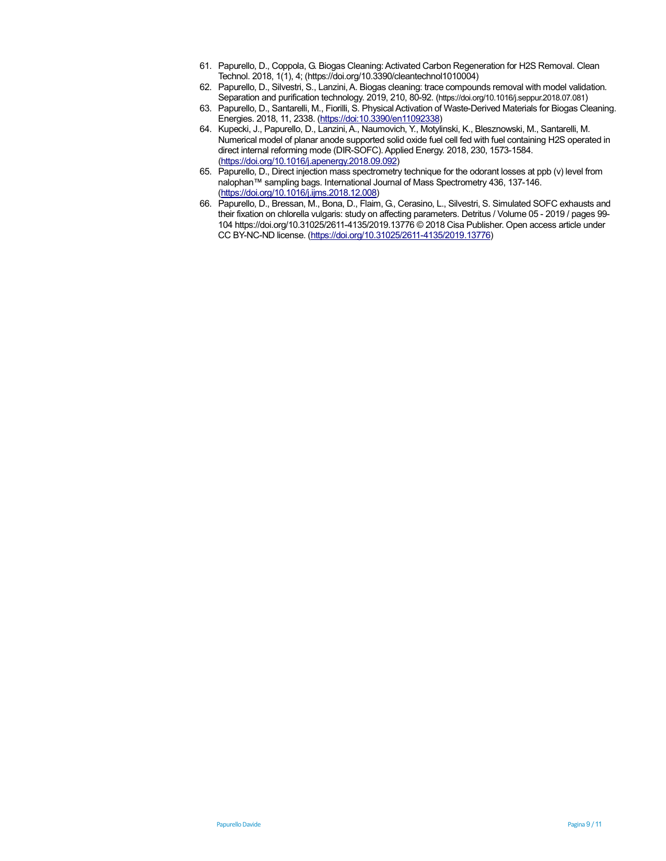- 61. Papurello, D., Coppola, G. Biogas Cleaning: Activated Carbon Regeneration for H2S Removal. Clean Technol. 2018, 1(1), 4; (https://doi.org/10.3390/cleantechnol1010004)
- 62. Papurello, D., Silvestri, S., Lanzini, A. Biogas cleaning: trace compounds removal with model validation. Separation and purification technology. 2019, 210, 80-92. (https://doi.org/10.1016/j.seppur.2018.07.081)
- 63. Papurello, D., Santarelli, M., Fiorilli, S. Physical Activation of Waste-Derived Materials for Biogas Cleaning. Energies. 2018, 11, 2338. (https://doi:10.3390/en11092338)
- 64. Kupecki, J., Papurello, D., Lanzini, A., Naumovich, Y., Motylinski, K., Blesznowski, M., Santarelli, M. Numerical model of planar anode supported solid oxide fuel cell fed with fuel containing H2S operated in direct internal reforming mode (DIR-SOFC). Applied Energy. 2018, 230, 1573-1584. (https://doi.org/10.1016/j.apenergy.2018.09.092)
- 65. Papurello, D., Direct injection mass spectrometry technique for the odorant losses at ppb (v) level from nalophan™ sampling bags. International Journal of Mass Spectrometry 436, 137-146. (https://doi.org/10.1016/j.ijms.2018.12.008)
- 66. Papurello, D., Bressan, M., Bona, D., Flaim, G., Cerasino, L., Silvestri, S. Simulated SOFC exhausts and their fixation on chlorella vulgaris: study on affecting parameters. Detritus / Volume 05 - 2019 / pages 99- 104 https://doi.org/10.31025/2611-4135/2019.13776 © 2018 Cisa Publisher. Open access article under CC BY-NC-ND license. (https://doi.org/10.31025/2611-4135/2019.13776)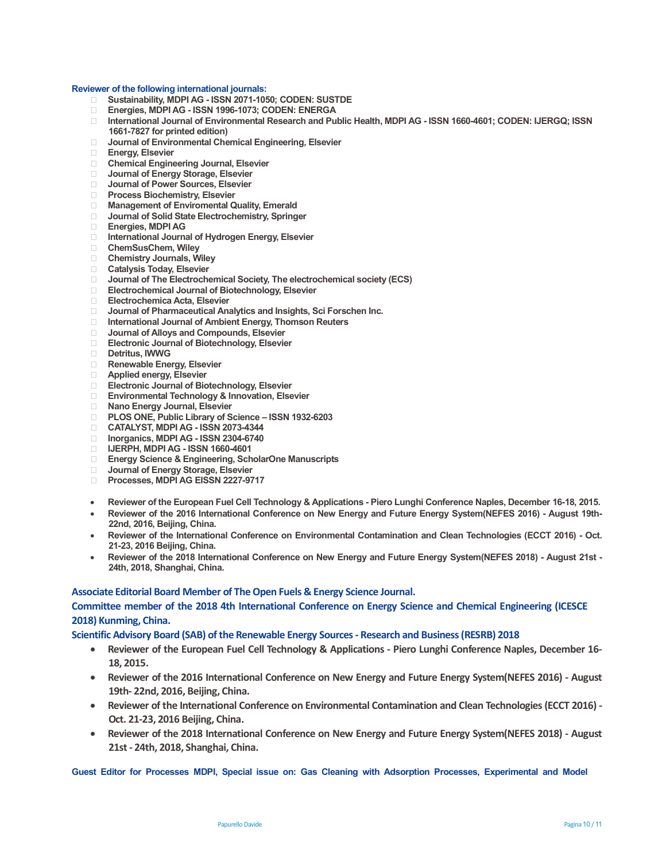**Reviewer of the following international journals: Sustainability, MDPI AG - ISSN 2071-1050; CODEN: SUSTDE Energies, MDPI AG - ISSN 1996-1073; CODEN: ENERGA International Journal of Environmental Research and Public Health, MDPI AG - ISSN 1660-4601; CODEN: IJERGQ; ISSN 1661-7827 for printed edition) Journal of Environmental Chemical Engineering, Elsevier Energy, Elsevier Chemical Engineering Journal, Elsevier Journal of Energy Storage, Elsevier Journal of Power Sources, Elsevier Process Biochemistry, Elsevier Management of Enviromental Quality, Emerald Journal of Solid State Electrochemistry, Springer Energies, MDPI AG International Journal of Hydrogen Energy, Elsevier ChemSusChem, Wiley Chemistry Journals, Wiley Catalysis Today, Elsevier Journal of The Electrochemical Society, The electrochemical society (ECS) Electrochemical Journal of Biotechnology, Elsevier Electrochemica Acta, Elsevier Journal of Pharmaceutical Analytics and Insights, Sci Forschen Inc. International Journal of Ambient Energy, Thomson Reuters Journal of Alloys and Compounds, Elsevier Electronic Journal of Biotechnology, Elsevier Detritus, IWWG Renewable Energy, Elsevier Applied energy, Elsevier Electronic Journal of Biotechnology, Elsevier Environmental Technology & Innovation, Elsevier Nano Energy Journal, Elsevier PLOS ONE, Public Library of Science – ISSN 1932-6203 CATALYST, MDPI AG - ISSN 2073-4344 Inorganics, MDPI AG - ISSN 2304-6740 IJERPH, MDPI AG - ISSN 1660-4601 Energy Science & Engineering, ScholarOne Manuscripts Journal of Energy Storage, Elsevier Processes, MDPI AG EISSN 2227-9717** 

- **Reviewer of the European Fuel Cell Technology & Applications Piero Lunghi Conference Naples, December 16-18, 2015.**
- **Reviewer of the 2016 International Conference on New Energy and Future Energy System(NEFES 2016) August 19th-22nd, 2016, Beijing, China.**
- **Reviewer of the International Conference on Environmental Contamination and Clean Technologies (ECCT 2016) Oct. 21-23, 2016 Beijing, China.**
- **Reviewer of the 2018 International Conference on New Energy and Future Energy System(NEFES 2018) August 21st 24th, 2018, Shanghai, China.**

**Associate Editorial Board Member of The Open Fuels & Energy Science Journal. Committee member of the 2018 4th International Conference on Energy Science and Chemical Engineering (ICESCE 2018) Kunming, China.** 

**Scientific Advisory Board (SAB) of the Renewable Energy Sources - Research and Business (RESRB) 2018** 

- **Reviewer of the European Fuel Cell Technology & Applications Piero Lunghi Conference Naples, December 16- 18, 2015.**
- **Reviewer of the 2016 International Conference on New Energy and Future Energy System(NEFES 2016) August 19th- 22nd, 2016, Beijing, China.**
- **Reviewer of the International Conference on Environmental Contamination and Clean Technologies (ECCT 2016) Oct. 21-23, 2016 Beijing, China.**
- **Reviewer of the 2018 International Conference on New Energy and Future Energy System(NEFES 2018) August 21st - 24th, 2018, Shanghai, China.**

**Guest Editor for Processes MDPI, Special issue on: Gas Cleaning with Adsorption Processes, Experimental and Model**